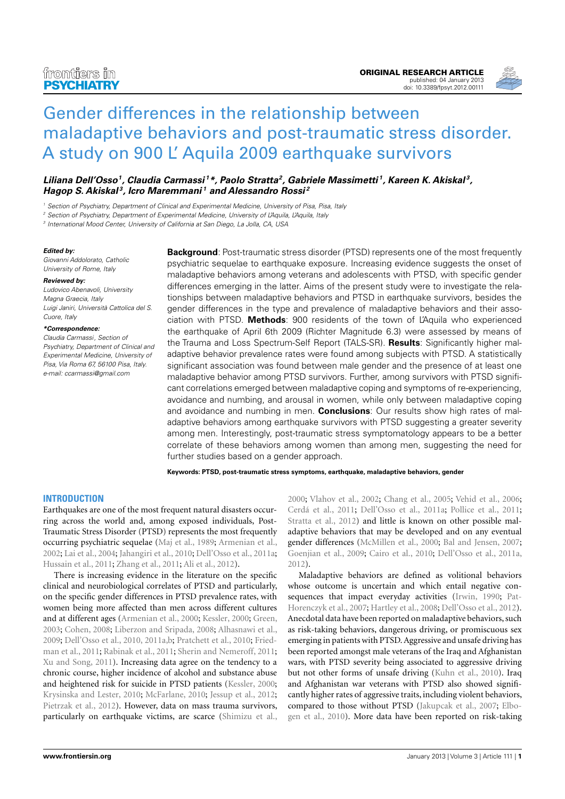

# [Gender differences in the relationship between](http://www.frontiersin.org/Addictive_Disorders_and_Behavioral_Dyscontrol/10.3389/fpsyt.2012.00111/abstract) [maladaptive behaviors and post-traumatic stress disorder.](http://www.frontiersin.org/Addictive_Disorders_and_Behavioral_Dyscontrol/10.3389/fpsyt.2012.00111/abstract) [A study on 900 L' Aquila 2009 earthquake survivors](http://www.frontiersin.org/Addictive_Disorders_and_Behavioral_Dyscontrol/10.3389/fpsyt.2012.00111/abstract)

**[Liliana Dell'Osso](http://www.frontiersin.org/people/LilianaDell_Osso/76130)<sup>1</sup> , [Claudia Carmassi](http://www.frontiersin.org/Community/WhosWhoActivity.aspx?sname=ClaudiaCarmassi&UID=75408) <sup>1</sup>\*, [Paolo Stratta](http://www.frontiersin.org/people/PaoloStratta/76219)<sup>2</sup> , [Gabriele Massimetti](http://www.frontiersin.org/Community/WhosWhoActivity.aspx?sname=GabrieleMassimetti&UID=75412) <sup>1</sup> , Kareen K. Akiskal <sup>3</sup> , [Hagop S. Akiskal](http://www.frontiersin.org/people/HagopAkiskal/76206) <sup>3</sup> , [Icro Maremmani](http://www.frontiersin.org/Community/WhosWhoActivity.aspx?sname=IcroMaremmani&UID=29038) <sup>1</sup> and [Alessandro Rossi](http://www.frontiersin.org/people/AlessandroRossi_1/76221) <sup>2</sup>**

Section of Psychiatry, Department of Clinical and Experimental Medicine, University of Pisa, Pisa, Italy

<sup>2</sup> Section of Psychiatry, Department of Experimental Medicine, University of L'Aquila, L'Aquila, Italy

3 International Mood Center, University of California at San Diego, La Jolla, CA, USA

### **Edited by:**

Giovanni Addolorato, Catholic University of Rome, Italy

#### **Reviewed by:**

Ludovico Abenavoli, University Magna Graecia, Italy Luigi Janiri, Università Cattolica del S. Cuore, Italy

### **\*Correspondence:**

Claudia Carmassi, Section of Psychiatry, Department of Clinical and Experimental Medicine, University of Pisa, Via Roma 67, 56100 Pisa, Italy. e-mail: [ccarmassi@gmail.com](mailto:ccarmassi@gmail.com)

**Background**: Post-traumatic stress disorder (PTSD) represents one of the most frequently psychiatric sequelae to earthquake exposure. Increasing evidence suggests the onset of maladaptive behaviors among veterans and adolescents with PTSD, with specific gender differences emerging in the latter. Aims of the present study were to investigate the relationships between maladaptive behaviors and PTSD in earthquake survivors, besides the gender differences in the type and prevalence of maladaptive behaviors and their association with PTSD. **Methods**: 900 residents of the town of L'Aquila who experienced the earthquake of April 6th 2009 (Richter Magnitude 6.3) were assessed by means of the Trauma and Loss Spectrum-Self Report (TALS-SR). **Results**: Significantly higher maladaptive behavior prevalence rates were found among subjects with PTSD. A statistically significant association was found between male gender and the presence of at least one maladaptive behavior among PTSD survivors. Further, among survivors with PTSD significant correlations emerged between maladaptive coping and symptoms of re-experiencing, avoidance and numbing, and arousal in women, while only between maladaptive coping and avoidance and numbing in men. **Conclusions**: Our results show high rates of maladaptive behaviors among earthquake survivors with PTSD suggesting a greater severity among men. Interestingly, post-traumatic stress symptomatology appears to be a better correlate of these behaviors among women than among men, suggesting the need for further studies based on a gender approach.

**Keywords: PTSD, post-traumatic stress symptoms, earthquake, maladaptive behaviors, gender**

# **INTRODUCTION**

Earthquakes are one of the most frequent natural disasters occurring across the world and, among exposed individuals, Post-Traumatic Stress Disorder (PTSD) represents the most frequently occurring psychiatric sequelae [\(Maj et al., 1989;](#page-5-0) [Armenian et al.,](#page-4-0) [2002;](#page-4-0) [Lai et al., 2004;](#page-5-1) [Jahangiri et al., 2010;](#page-5-2) [Dell'Osso et al., 2011a;](#page-4-1) [Hussain et al., 2011;](#page-5-3) [Zhang et al., 2011;](#page-5-4) [Ali et al., 2012\)](#page-4-2).

There is increasing evidence in the literature on the specific clinical and neurobiological correlates of PTSD and particularly, on the specific gender differences in PTSD prevalence rates, with women being more affected than men across different cultures and at different ages [\(Armenian et al., 2000;](#page-4-3) [Kessler, 2000;](#page-5-5) [Green,](#page-5-6) [2003;](#page-5-6) [Cohen, 2008;](#page-4-4) [Liberzon and Sripada, 2008;](#page-5-7) [Alhasnawi et al.,](#page-4-5) [2009;](#page-4-5) [Dell'Osso et al., 2010,](#page-5-8) [2011a,](#page-4-1)[b;](#page-4-6) [Pratchett et al., 2010;](#page-5-9) [Fried](#page-5-10)[man et al., 2011;](#page-5-10) [Rabinak et al., 2011;](#page-5-11) [Sherin and Nemeroff, 2011;](#page-5-12) [Xu and Song, 2011\)](#page-5-13). Increasing data agree on the tendency to a chronic course, higher incidence of alcohol and substance abuse and heightened risk for suicide in PTSD patients [\(Kessler, 2000;](#page-5-5) [Krysinska and Lester, 2010;](#page-5-14) [McFarlane, 2010;](#page-5-15) [Jessup et al., 2012;](#page-5-16) [Pietrzak et al., 2012\)](#page-5-17). However, data on mass trauma survivors, particularly on earthquake victims, are scarce [\(Shimizu et al.,](#page-5-18)

[2000;](#page-5-18) [Vlahov et al., 2002;](#page-5-19) [Chang et al., 2005;](#page-4-7) [Vehid et al., 2006;](#page-5-20) [Cerdá et al., 2011;](#page-4-8) [Dell'Osso et al., 2011a;](#page-4-1) [Pollice et al., 2011;](#page-5-21) [Stratta et al., 2012\)](#page-5-22) and little is known on other possible maladaptive behaviors that may be developed and on any eventual gender differences [\(McMillen et al., 2000;](#page-5-23) [Bal and Jensen, 2007;](#page-4-9) [Goenjian et al., 2009;](#page-5-24) [Cairo et al., 2010;](#page-4-10) [Dell'Osso et al., 2011a,](#page-4-1) [2012\)](#page-4-11).

Maladaptive behaviors are defined as volitional behaviors whose outcome is uncertain and which entail negative con-sequences that impact everyday activities [\(Irwin, 1990;](#page-5-25) [Pat-](#page-5-26)[Horenczyk et al., 2007;](#page-5-26) [Hartley et al., 2008;](#page-5-27) [Dell'Osso et al., 2012\)](#page-4-11). Anecdotal data have been reported on maladaptive behaviors, such as risk-taking behaviors, dangerous driving, or promiscuous sex emerging in patients with PTSD. Aggressive and unsafe driving has been reported amongst male veterans of the Iraq and Afghanistan wars, with PTSD severity being associated to aggressive driving but not other forms of unsafe driving [\(Kuhn et al., 2010\)](#page-5-28). Iraq and Afghanistan war veterans with PTSD also showed significantly higher rates of aggressive traits, including violent behaviors, compared to those without PTSD [\(Jakupcak et al., 2007;](#page-5-29) [Elbo](#page-5-30)[gen et al., 2010\)](#page-5-30). More data have been reported on risk-taking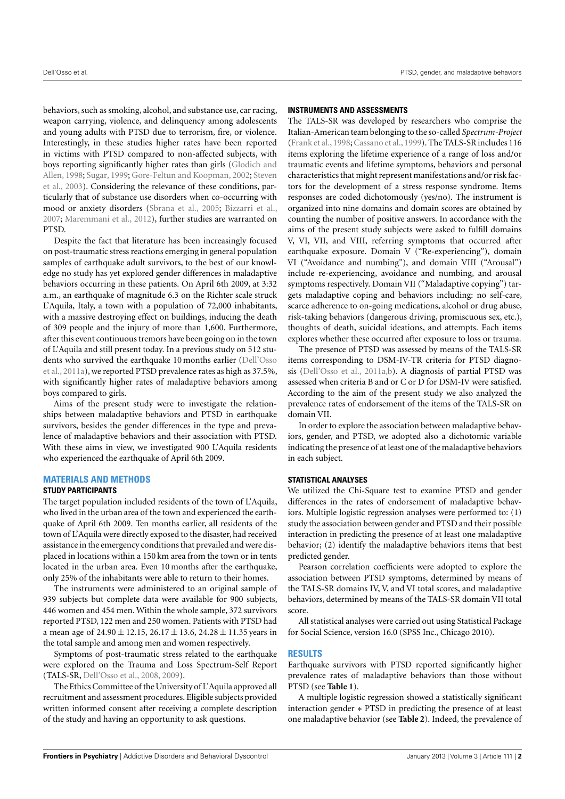behaviors, such as smoking, alcohol, and substance use, car racing, weapon carrying, violence, and delinquency among adolescents and young adults with PTSD due to terrorism, fire, or violence. Interestingly, in these studies higher rates have been reported in victims with PTSD compared to non-affected subjects, with boys reporting significantly higher rates than girls [\(Glodich and](#page-5-31) [Allen,](#page-5-31) [1998;](#page-5-31) [Sugar,](#page-5-32) [1999;](#page-5-32) [Gore-Feltun and Koopman,](#page-5-33) [2002;](#page-5-33) [Steven](#page-5-34) [et al.,](#page-5-34) [2003\)](#page-5-34). Considering the relevance of these conditions, particularly that of substance use disorders when co-occurring with mood or anxiety disorders [\(Sbrana et al.,](#page-5-35) [2005;](#page-5-35) [Bizzarri et al.,](#page-4-12) [2007;](#page-4-12) [Maremmani et al.,](#page-5-36) [2012\)](#page-5-36), further studies are warranted on PTSD.

Despite the fact that literature has been increasingly focused on post-traumatic stress reactions emerging in general population samples of earthquake adult survivors, to the best of our knowledge no study has yet explored gender differences in maladaptive behaviors occurring in these patients. On April 6th 2009, at 3:32 a.m., an earthquake of magnitude 6.3 on the Richter scale struck L'Aquila, Italy, a town with a population of 72,000 inhabitants, with a massive destroying effect on buildings, inducing the death of 309 people and the injury of more than 1,600. Furthermore, after this event continuous tremors have been going on in the town of L'Aquila and still present today. In a previous study on 512 students who survived the earthquake 10 months earlier [\(Dell'Osso](#page-4-1) [et al.,](#page-4-1) [2011a\)](#page-4-1), we reported PTSD prevalence rates as high as 37.5%, with significantly higher rates of maladaptive behaviors among boys compared to girls.

Aims of the present study were to investigate the relationships between maladaptive behaviors and PTSD in earthquake survivors, besides the gender differences in the type and prevalence of maladaptive behaviors and their association with PTSD. With these aims in view, we investigated 900 L'Aquila residents who experienced the earthquake of April 6th 2009.

# **MATERIALS AND METHODS**

## **STUDY PARTICIPANTS**

The target population included residents of the town of L'Aquila, who lived in the urban area of the town and experienced the earthquake of April 6th 2009. Ten months earlier, all residents of the town of L'Aquila were directly exposed to the disaster, had received assistance in the emergency conditions that prevailed and were displaced in locations within a 150 km area from the town or in tents located in the urban area. Even 10 months after the earthquake, only 25% of the inhabitants were able to return to their homes.

The instruments were administered to an original sample of 939 subjects but complete data were available for 900 subjects, 446 women and 454 men. Within the whole sample, 372 survivors reported PTSD, 122 men and 250 women. Patients with PTSD had a mean age of  $24.90 \pm 12.15$ ,  $26.17 \pm 13.6$ ,  $24.28 \pm 11.35$  years in the total sample and among men and women respectively.

Symptoms of post-traumatic stress related to the earthquake were explored on the Trauma and Loss Spectrum-Self Report (TALS-SR, [Dell'Osso et al.,](#page-5-37) [2008,](#page-5-37) [2009\)](#page-4-13).

The Ethics Committee of the University of L'Aquila approved all recruitment and assessment procedures. Eligible subjects provided written informed consent after receiving a complete description of the study and having an opportunity to ask questions.

# **INSTRUMENTS AND ASSESSMENTS**

The TALS-SR was developed by researchers who comprise the Italian-American team belonging to the so-called *Spectrum-Project* [\(Frank et al.,](#page-5-38) [1998;](#page-5-38) [Cassano et al.,](#page-4-14) [1999\)](#page-4-14). The TALS-SR includes 116 items exploring the lifetime experience of a range of loss and/or traumatic events and lifetime symptoms, behaviors and personal characteristics that might represent manifestations and/or risk factors for the development of a stress response syndrome. Items responses are coded dichotomously (yes/no). The instrument is organized into nine domains and domain scores are obtained by counting the number of positive answers. In accordance with the aims of the present study subjects were asked to fulfill domains V, VI, VII, and VIII, referring symptoms that occurred after earthquake exposure. Domain V ("Re-experiencing"), domain VI ("Avoidance and numbing"), and domain VIII ("Arousal") include re-experiencing, avoidance and numbing, and arousal symptoms respectively. Domain VII ("Maladaptive copying") targets maladaptive coping and behaviors including: no self-care, scarce adherence to on-going medications, alcohol or drug abuse, risk-taking behaviors (dangerous driving, promiscuous sex, etc.), thoughts of death, suicidal ideations, and attempts. Each items explores whether these occurred after exposure to loss or trauma.

The presence of PTSD was assessed by means of the TALS-SR items corresponding to DSM-IV-TR criteria for PTSD diagnosis [\(Dell'Osso et al.,](#page-4-1) [2011a](#page-4-1)[,b\)](#page-4-6). A diagnosis of partial PTSD was assessed when criteria B and or C or D for DSM-IV were satisfied. According to the aim of the present study we also analyzed the prevalence rates of endorsement of the items of the TALS-SR on domain VII.

In order to explore the association between maladaptive behaviors, gender, and PTSD, we adopted also a dichotomic variable indicating the presence of at least one of the maladaptive behaviors in each subject.

# **STATISTICAL ANALYSES**

We utilized the Chi-Square test to examine PTSD and gender differences in the rates of endorsement of maladaptive behaviors. Multiple logistic regression analyses were performed to: (1) study the association between gender and PTSD and their possible interaction in predicting the presence of at least one maladaptive behavior; (2) identify the maladaptive behaviors items that best predicted gender.

Pearson correlation coefficients were adopted to explore the association between PTSD symptoms, determined by means of the TALS-SR domains IV, V, and VI total scores, and maladaptive behaviors, determined by means of the TALS-SR domain VII total score.

All statistical analyses were carried out using Statistical Package for Social Science, version 16.0 (SPSS Inc., Chicago 2010).

# **RESULTS**

Earthquake survivors with PTSD reported significantly higher prevalence rates of maladaptive behaviors than those without PTSD (see **[Table 1](#page-2-0)**).

A multiple logistic regression showed a statistically significant interaction gender ∗ PTSD in predicting the presence of at least one maladaptive behavior (see **[Table 2](#page-2-1)**). Indeed, the prevalence of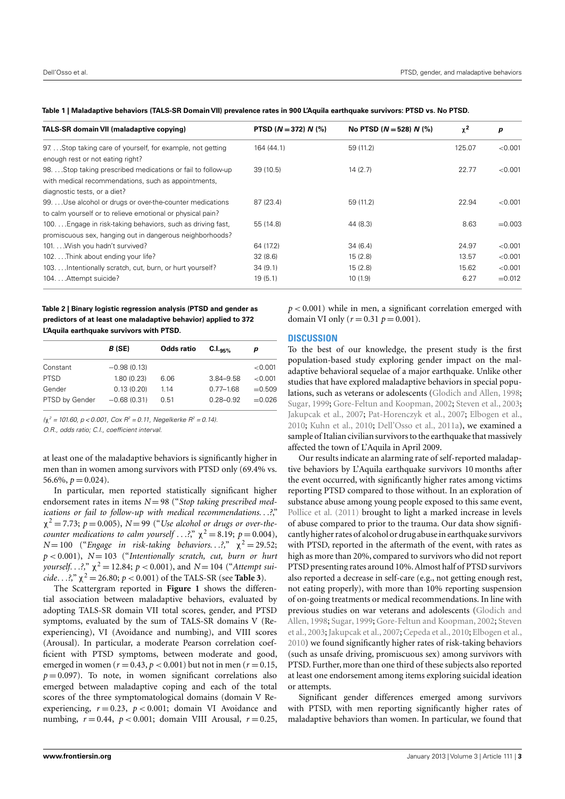| <b>TALS-SR domain VII (maladaptive copying)</b>            | PTSD $(N = 372) N$ $(\%)$ | No PTSD ( $N = 528$ ) N (%) | $\chi^2$ | p         |
|------------------------------------------------------------|---------------------------|-----------------------------|----------|-----------|
| 97Stop taking care of yourself, for example, not getting   | 164 (44.1)                | 59 (11.2)                   | 125.07   | < 0.001   |
| enough rest or not eating right?                           |                           |                             |          |           |
| 98Stop taking prescribed medications or fail to follow-up  | 39(10.5)                  | 14(2.7)                     | 22.77    | < 0.001   |
| with medical recommendations, such as appointments,        |                           |                             |          |           |
| diagnostic tests, or a diet?                               |                           |                             |          |           |
| 99. Use alcohol or drugs or over-the-counter medications   | 87 (23.4)                 | 59 (11.2)                   | 22.94    | < 0.001   |
| to calm yourself or to relieve emotional or physical pain? |                           |                             |          |           |
| 100 Engage in risk-taking behaviors, such as driving fast, | 55 (14.8)                 | 44 (8.3)                    | 8.63     | $= 0.003$ |
| promiscuous sex, hanging out in dangerous neighborhoods?   |                           |                             |          |           |
| 101. Wish you hadn't survived?                             | 64 (17.2)                 | 34(6.4)                     | 24.97    | < 0.001   |
| 102Think about ending your life?                           | 32(8.6)                   | 15(2.8)                     | 13.57    | < 0.001   |
| 103.  Intentionally scratch, cut, burn, or hurt yourself?  | 34(9.1)                   | 15(2.8)                     | 15.62    | < 0.001   |
| 104. Attempt suicide?                                      | 19(5.1)                   | 10(1.9)                     | 6.27     | $= 0.012$ |

<span id="page-2-0"></span>**Table 1 | Maladaptive behaviors (TALS-SR Domain VII) prevalence rates in 900 L'Aquila earthquake survivors: PTSD vs. No PTSD.**

<span id="page-2-1"></span>**Table 2 | Binary logistic regression analysis (PTSD and gender as predictors of at least one maladaptive behavior) applied to 372 L'Aquila earthquake survivors with PTSD.**

| B (SE)        | Odds ratio | $C.I.$ <sub>95%</sub> | p         |
|---------------|------------|-----------------------|-----------|
| $-0.98(0.13)$ |            |                       | < 0.001   |
| 1.80(0.23)    | 6.06       | 3.84-9.58             | < 0.001   |
| 0.13(0.20)    | 1.14       | $0.77 - 1.68$         | $= 0.509$ |
| $-0.68(0.31)$ | 0.51       | $0.28 - 0.92$         | $= 0.026$ |
|               |            |                       |           |

 $(\chi^2 = 101.60, p < 0.001, Cox R^2 = 0.11, Negelkerke R^2 = 0.14)$ .

O.R., odds ratio; C.I., coefficient interval.

at least one of the maladaptive behaviors is significantly higher in men than in women among survivors with PTSD only (69.4% vs. 56.6%,  $p = 0.024$ ).

In particular, men reported statistically significant higher endorsement rates in items  $N=98$  ("Stop taking prescribed med*ications or fail to follow-up with medical recommendations*. . .*?*,"  $\chi^2$  = 7.73; *p* = 0.005), *N* = 99 ("*Use alcohol or drugs or over-thecounter medications to calm yourself* . . .?,"  $\chi^2 = 8.19$ ;  $p = 0.004$ ),  $N=100$  ("*Engage in risk-taking behaviors.* . .?,"  $\chi^2 = 29.52$ ; *p* < 0.001), *N* = 103 ("*Intentionally scratch, cut, burn or hurt yourself.* . .?,"  $\chi^2 = 12.84$ ;  $p < 0.001$ ), and  $N = 104$  ("Attempt sui*cide.* . .?,"  $\chi^2 = 26.80$ ;  $p < 0.001$ ) of the TALS-SR (see **[Table 3](#page-3-0)**).

The Scattergram reported in **[Figure 1](#page-3-1)** shows the differential association between maladaptive behaviors, evaluated by adopting TALS-SR domain VII total scores, gender, and PTSD symptoms, evaluated by the sum of TALS-SR domains V (Reexperiencing), VI (Avoidance and numbing), and VIII scores (Arousal). In particular, a moderate Pearson correlation coefficient with PTSD symptoms, between moderate and good, emerged in women ( $r = 0.43$ ,  $p < 0.001$ ) but not in men ( $r = 0.15$ ,  $p = 0.097$ ). To note, in women significant correlations also emerged between maladaptive coping and each of the total scores of the three symptomatological domains (domain V Reexperiencing,  $r = 0.23$ ,  $p < 0.001$ ; domain VI Avoidance and numbing,  $r = 0.44$ ,  $p < 0.001$ ; domain VIII Arousal,  $r = 0.25$ ,  $p < 0.001$ ) while in men, a significant correlation emerged with domain VI only ( $r = 0.31$   $p = 0.001$ ).

# **DISCUSSION**

To the best of our knowledge, the present study is the first population-based study exploring gender impact on the maladaptive behavioral sequelae of a major earthquake. Unlike other studies that have explored maladaptive behaviors in special populations, such as veterans or adolescents [\(Glodich and Allen,](#page-5-31) [1998;](#page-5-31) [Sugar,](#page-5-32) [1999;](#page-5-32) [Gore-Feltun and Koopman,](#page-5-33) [2002;](#page-5-33) [Steven et al.,](#page-5-34) [2003;](#page-5-34) [Jakupcak et al.,](#page-5-29) [2007;](#page-5-29) [Pat-Horenczyk et al.,](#page-5-26) [2007;](#page-5-26) [Elbogen et al.,](#page-5-30) [2010;](#page-5-30) [Kuhn et al.,](#page-5-28) [2010;](#page-5-28) [Dell'Osso et al.,](#page-4-1) [2011a\)](#page-4-1), we examined a sample of Italian civilian survivors to the earthquake that massively affected the town of L'Aquila in April 2009.

Our results indicate an alarming rate of self-reported maladaptive behaviors by L'Aquila earthquake survivors 10 months after the event occurred, with significantly higher rates among victims reporting PTSD compared to those without. In an exploration of substance abuse among young people exposed to this same event, [Pollice et al.](#page-5-21) [\(2011\)](#page-5-21) brought to light a marked increase in levels of abuse compared to prior to the trauma. Our data show significantly higher rates of alcohol or drug abuse in earthquake survivors with PTSD, reported in the aftermath of the event, with rates as high as more than 20%, compared to survivors who did not report PTSD presenting rates around 10%. Almost half of PTSD survivors also reported a decrease in self-care (e.g., not getting enough rest, not eating properly), with more than 10% reporting suspension of on-going treatments or medical recommendations. In line with previous studies on war veterans and adolescents [\(Glodich and](#page-5-31) [Allen,](#page-5-31) [1998;](#page-5-31) [Sugar,](#page-5-32) [1999;](#page-5-32) [Gore-Feltun and Koopman,](#page-5-33) [2002;](#page-5-33) [Steven](#page-5-34) [et al.,](#page-5-34) [2003;](#page-5-34) [Jakupcak et al.,](#page-5-29) [2007;](#page-5-29) [Cepeda et al.,](#page-4-15) [2010;](#page-4-15) [Elbogen et al.,](#page-5-30) [2010\)](#page-5-30) we found significantly higher rates of risk-taking behaviors (such as unsafe driving, promiscuous sex) among survivors with PTSD. Further, more than one third of these subjects also reported at least one endorsement among items exploring suicidal ideation or attempts.

Significant gender differences emerged among survivors with PTSD, with men reporting significantly higher rates of maladaptive behaviors than women. In particular, we found that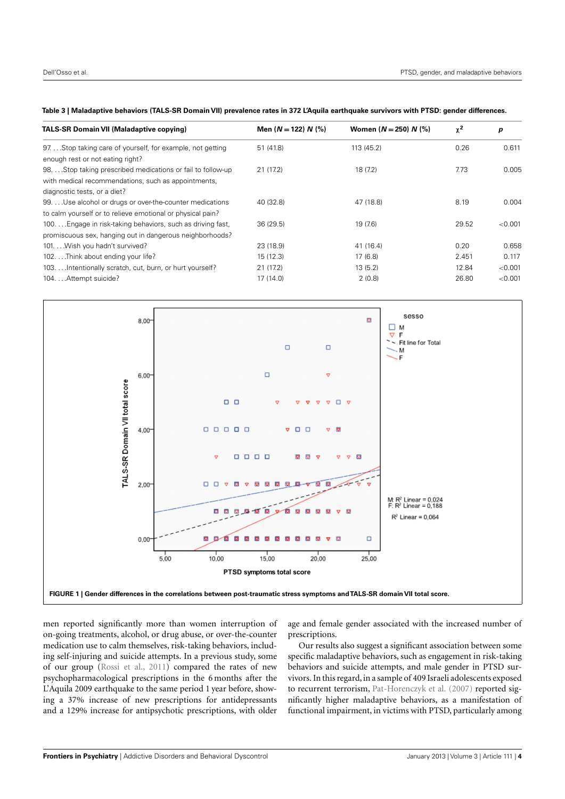<span id="page-3-0"></span>

|  |  | Table 3   Maladaptive behaviors (TALS-SR Domain VII) prevalence rates in 372 L'Aquila earthquake survivors with PTSD: gender differences. |  |
|--|--|-------------------------------------------------------------------------------------------------------------------------------------------|--|
|  |  |                                                                                                                                           |  |

| <b>TALS-SR Domain VII (Maladaptive copying)</b>            | Men $(N = 122) N$ (%) | Women $(N = 250) N$ (%) | $\chi^2$ | p       |
|------------------------------------------------------------|-----------------------|-------------------------|----------|---------|
| 97Stop taking care of yourself, for example, not getting   | 51 (41.8)             | 113 (45.2)              | 0.26     | 0.611   |
| enough rest or not eating right?                           |                       |                         |          |         |
| 98Stop taking prescribed medications or fail to follow-up  | 21(17.2)              | 18(7.2)                 | 7.73     | 0.005   |
| with medical recommendations, such as appointments,        |                       |                         |          |         |
| diagnostic tests, or a diet?                               |                       |                         |          |         |
| 99.  Use alcohol or drugs or over-the-counter medications  | 40 (32.8)             | 47 (18.8)               | 8.19     | 0.004   |
| to calm yourself or to relieve emotional or physical pain? |                       |                         |          |         |
| 100 Engage in risk-taking behaviors, such as driving fast, | 36 (29.5)             | 19 (7.6)                | 29.52    | < 0.001 |
| promiscuous sex, hanging out in dangerous neighborhoods?   |                       |                         |          |         |
| 101. Wish you hadn't survived?                             | 23 (18.9)             | 41 (16.4)               | 0.20     | 0.658   |
| 102. Think about ending your life?                         | 15(12.3)              | 17(6.8)                 | 2.451    | 0.117   |
| 103.  Intentionally scratch, cut, burn, or hurt yourself?  | 21 (17.2)             | 13(5.2)                 | 12.84    | < 0.001 |
| 104. Attempt suicide?                                      | 17(14.0)              | 2(0.8)                  | 26.80    | < 0.001 |
|                                                            |                       |                         |          |         |



<span id="page-3-1"></span>men reported significantly more than women interruption of on-going treatments, alcohol, or drug abuse, or over-the-counter medication use to calm themselves, risk-taking behaviors, including self-injuring and suicide attempts. In a previous study, some of our group [\(Rossi et al.,](#page-5-39) [2011\)](#page-5-39) compared the rates of new psychopharmacological prescriptions in the 6 months after the L'Aquila 2009 earthquake to the same period 1 year before, showing a 37% increase of new prescriptions for antidepressants and a 129% increase for antipsychotic prescriptions, with older

age and female gender associated with the increased number of prescriptions.

Our results also suggest a significant association between some specific maladaptive behaviors, such as engagement in risk-taking behaviors and suicide attempts, and male gender in PTSD survivors. In this regard, in a sample of 409 Israeli adolescents exposed to recurrent terrorism, [Pat-Horenczyk et al.](#page-5-26) [\(2007\)](#page-5-26) reported significantly higher maladaptive behaviors, as a manifestation of functional impairment, in victims with PTSD, particularly among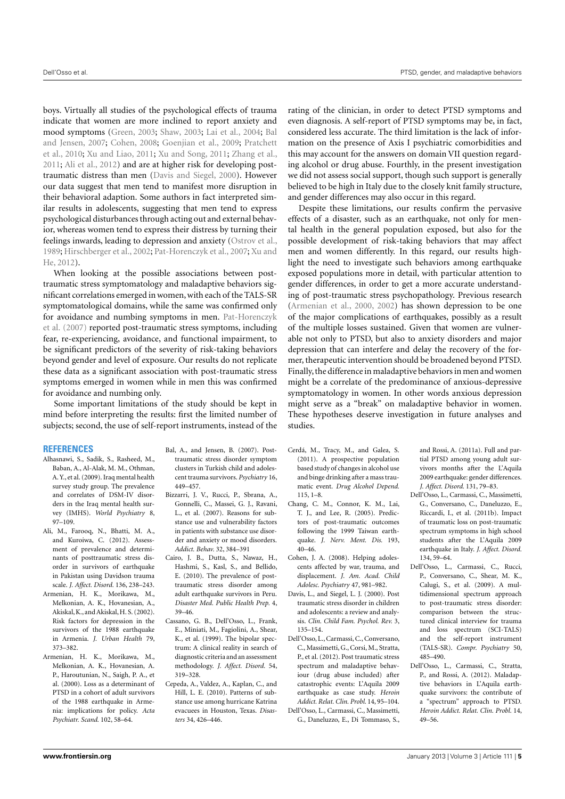boys. Virtually all studies of the psychological effects of trauma indicate that women are more inclined to report anxiety and mood symptoms [\(Green,](#page-5-6) [2003;](#page-5-6) [Shaw,](#page-5-40) [2003;](#page-5-40) [Lai et al.,](#page-5-1) [2004;](#page-5-1) [Bal](#page-4-9) [and Jensen,](#page-4-9) [2007;](#page-4-9) [Cohen,](#page-4-4) [2008;](#page-4-4) [Goenjian et al.,](#page-5-24) [2009;](#page-5-24) [Pratchett](#page-5-9) [et al.,](#page-5-9) [2010;](#page-5-9) [Xu and Liao,](#page-5-41) [2011;](#page-5-41) [Xu and Song,](#page-5-13) [2011;](#page-5-13) [Zhang et al.,](#page-5-4) [2011;](#page-5-4) [Ali et al.,](#page-4-2) [2012\)](#page-4-2) and are at higher risk for developing posttraumatic distress than men [\(Davis and Siegel,](#page-4-16) [2000\)](#page-4-16). However our data suggest that men tend to manifest more disruption in their behavioral adaption. Some authors in fact interpreted similar results in adolescents, suggesting that men tend to express psychological disturbances through acting out and external behavior, whereas women tend to express their distress by turning their feelings inwards, leading to depression and anxiety [\(Ostrov et al.,](#page-5-42) [1989;](#page-5-42) [Hirschberger et al.,](#page-5-43) [2002;](#page-5-43) [Pat-Horenczyk et al.,](#page-5-26) [2007;](#page-5-26) [Xu and](#page-5-44) [He,](#page-5-44) [2012\)](#page-5-44).

When looking at the possible associations between posttraumatic stress symptomatology and maladaptive behaviors significant correlations emerged in women, with each of the TALS-SR symptomatological domains, while the same was confirmed only for avoidance and numbing symptoms in men. [Pat-Horenczyk](#page-5-26) [et al.](#page-5-26) [\(2007\)](#page-5-26) reported post-traumatic stress symptoms, including fear, re-experiencing, avoidance, and functional impairment, to be significant predictors of the severity of risk-taking behaviors beyond gender and level of exposure. Our results do not replicate these data as a significant association with post-traumatic stress symptoms emerged in women while in men this was confirmed for avoidance and numbing only.

Some important limitations of the study should be kept in mind before interpreting the results: first the limited number of subjects; second, the use of self-report instruments, instead of the

## **REFERENCES**

- <span id="page-4-5"></span>Alhasnawi, S., Sadik, S., Rasheed, M., Baban, A., Al-Alak, M. M., Othman, A. Y., et al. (2009). Iraq mental health survey study group. The prevalence and correlates of DSM-IV disorders in the Iraq mental health survey (IMHS). *World Psychiatry* 8, 97–109.
- <span id="page-4-2"></span>Ali, M., Farooq, N., Bhatti, M. A., and Kuroiwa, C. (2012). Assessment of prevalence and determinants of posttraumatic stress disorder in survivors of earthquake in Pakistan using Davidson trauma scale. *J. Affect. Disord.* 136, 238–243.
- <span id="page-4-0"></span>Armenian, H. K., Morikawa, M., Melkonian, A. K., Hovanesian, A., Akiskal, K., and Akiskal, H. S. (2002). Risk factors for depression in the survivors of the 1988 earthquake in Armenia. *J. Urban Health* 79, 373–382.
- <span id="page-4-3"></span>Armenian, H. K., Morikawa, M., Melkonian, A. K., Hovanesian, A. P., Haroutunian, N., Saigh, P. A., et al. (2000). Loss as a determinant of PTSD in a cohort of adult survivors of the 1988 earthquake in Armenia: implications for policy. *Acta Psychiatr. Scand.* 102, 58–64.
- <span id="page-4-9"></span>Bal, A., and Jensen, B. (2007). Posttraumatic stress disorder symptom clusters in Turkish child and adolescent trauma survivors. *Psychiatry* 16, 449–457.
- <span id="page-4-12"></span>Bizzarri, J. V., Rucci, P., Sbrana, A., Gonnelli, C., Massei, G. J., Ravani, L., et al. (2007). Reasons for substance use and vulnerability factors in patients with substance use disorder and anxiety or mood disorders. *Addict. Behav.* 32, 384–391
- <span id="page-4-10"></span>Cairo, J. B., Dutta, S., Nawaz, H., Hashmi, S., Kasl, S., and Bellido, E. (2010). The prevalence of posttraumatic stress disorder among adult earthquake survivors in Peru. *Disaster Med. Public Health Prep.* 4, 39–46.
- <span id="page-4-14"></span>Cassano, G. B., Dell'Osso, L., Frank, E., Miniati, M., Fagiolini, A., Shear, K., et al. (1999). The bipolar spectrum: A clinical reality in search of diagnostic criteria and an assessment methodology. *J. Affect. Disord.* 54, 319–328.
- <span id="page-4-15"></span>Cepeda, A., Valdez, A., Kaplan, C., and Hill, L. E. (2010). Patterns of substance use among hurricane Katrina evacuees in Houston, Texas. *Disasters* 34, 426–446.

rating of the clinician, in order to detect PTSD symptoms and even diagnosis. A self-report of PTSD symptoms may be, in fact, considered less accurate. The third limitation is the lack of information on the presence of Axis I psychiatric comorbidities and this may account for the answers on domain VII question regarding alcohol or drug abuse. Fourthly, in the present investigation we did not assess social support, though such support is generally believed to be high in Italy due to the closely knit family structure, and gender differences may also occur in this regard.

Despite these limitations, our results confirm the pervasive effects of a disaster, such as an earthquake, not only for mental health in the general population exposed, but also for the possible development of risk-taking behaviors that may affect men and women differently. In this regard, our results highlight the need to investigate such behaviors among earthquake exposed populations more in detail, with particular attention to gender differences, in order to get a more accurate understanding of post-traumatic stress psychopathology. Previous research [\(Armenian et al.,](#page-4-3) [2000,](#page-4-3) [2002\)](#page-4-0) has shown depression to be one of the major complications of earthquakes, possibly as a result of the multiple losses sustained. Given that women are vulnerable not only to PTSD, but also to anxiety disorders and major depression that can interfere and delay the recovery of the former, therapeutic intervention should be broadened beyond PTSD. Finally, the difference in maladaptive behaviors in men and women might be a correlate of the predominance of anxious-depressive symptomatology in women. In other words anxious depression might serve as a "break" on maladaptive behavior in women. These hypotheses deserve investigation in future analyses and studies.

- <span id="page-4-8"></span>Cerdá, M., Tracy, M., and Galea, S. (2011). A prospective population based study of changes in alcohol use and binge drinking after a mass traumatic event. *Drug Alcohol Depend.* 115, 1–8.
- <span id="page-4-7"></span>Chang, C. M., Connor, K. M., Lai, T. J., and Lee, R. (2005). Predictors of post-traumatic outcomes following the 1999 Taiwan earthquake. *J. Nerv. Ment. Dis.* 193, 40–46.
- <span id="page-4-4"></span>Cohen, J. A. (2008). Helping adolescents affected by war, trauma, and displacement. *J. Am. Acad. Child Adolesc. Psychiatry* 47, 981–982.
- <span id="page-4-16"></span>Davis, L., and Siegel, L. J. (2000). Post traumatic stress disorder in children and adolescents: a review and analysis. *Clin. Child Fam. Psychol. Rev.* 3, 135–154.
- <span id="page-4-11"></span><span id="page-4-1"></span>Dell'Osso, L., Carmassi, C., Conversano, C., Massimetti, G., Corsi, M., Stratta, P., et al. (2012). Post traumatic stress spectrum and maladaptive behaviour (drug abuse included) after catastrophic events: L'Aquila 2009 earthquake as case study. *Heroin Addict. Relat. Clin. Probl.* 14, 95–104. Dell'Osso, L., Carmassi, C., Massimetti, G., Daneluzzo, E., Di Tommaso, S.,

and Rossi, A. (2011a). Full and partial PTSD among young adult survivors months after the L'Aquila 2009 earthquake: gender differences. *J. Affect. Disord.* 131, 79–83.

- <span id="page-4-6"></span>Dell'Osso, L., Carmassi, C., Massimetti, G., Conversano, C., Daneluzzo, E., Riccardi, I., et al. (2011b). Impact of traumatic loss on post-traumatic spectrum symptoms in high school students after the L'Aquila 2009 earthquake in Italy. *J. Affect. Disord.* 134, 59–64.
- <span id="page-4-13"></span>Dell'Osso, L., Carmassi, C., Rucci, P., Conversano, C., Shear, M. K., Calugi, S., et al. (2009). A multidimensional spectrum approach to post-traumatic stress disorder: comparison between the structured clinical interview for trauma and loss spectrum (SCI-TALS) and the self-report instrument (TALS-SR). *Compr. Psychiatry* 50, 485–490.
- Dell'Osso, L., Carmassi, C., Stratta, P., and Rossi, A. (2012). Maladaptive behaviors in L'Aquila earthquake survivors: the contribute of a "spectrum" approach to PTSD. *Heroin Addict. Relat. Clin. Probl.* 14, 49–56.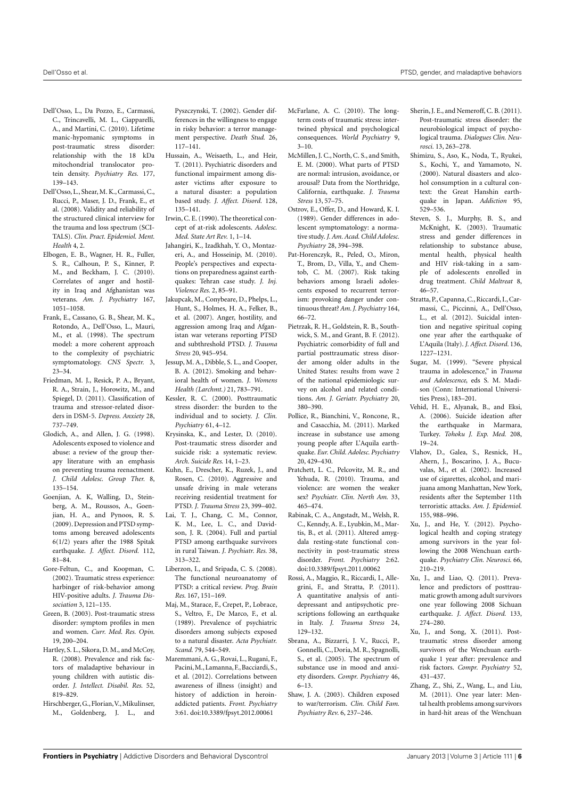- <span id="page-5-8"></span>Dell'Osso, L., Da Pozzo, E., Carmassi, C., Trincavelli, M. L., Ciapparelli, A., and Martini, C. (2010). Lifetime manic-hypomanic symptoms in post-traumatic stress disorder: relationship with the 18 kDa mitochondrial translocator protein density. *Psychiatry Res.* 177, 139–143.
- <span id="page-5-37"></span>Dell'Osso, L., Shear, M. K., Carmassi, C., Rucci, P., Maser, J. D., Frank, E., et al. (2008). Validity and reliability of the structured clinical interview for the trauma and loss spectrum (SCI-TALS). *Clin. Pract. Epidemiol. Ment. Health* 4, 2.
- <span id="page-5-30"></span>Elbogen, E. B., Wagner, H. R., Fuller, S. R., Calhoun, P. S., Kinner, P. M., and Beckham, J. C. (2010). Correlates of anger and hostility in Iraq and Afghanistan was veterans. *Am. J. Psychiatry* 167, 1051–1058.
- <span id="page-5-38"></span>Frank, E., Cassano, G. B., Shear, M. K., Rotondo, A., Dell'Osso, L., Mauri, M., et al. (1998). The spectrum model: a more coherent approach to the complexity of psychiatric symptomatology. *CNS Spectr.* 3, 23–34.
- <span id="page-5-10"></span>Friedman, M. J., Resick, P. A., Bryant, R. A., Strain, J., Horowitz, M., and Spiegel, D. (2011). Classification of trauma and stressor-related disorders in DSM-5. *Depress. Anxiety* 28, 737–749.
- <span id="page-5-31"></span>Glodich, A., and Allen, J. G. (1998). Adolescents exposed to violence and abuse: a review of the group therapy literature with an emphasis on preventing trauma reenactment. *J. Child Adolesc. Group Ther.* 8, 135–154.
- <span id="page-5-24"></span>Goenjian, A. K, Walling, D., Steinberg, A. M., Roussos, A., Goenjian, H. A., and Pynoos, R. S. (2009). Depression and PTSD symptoms among bereaved adolescents 6(1/2) years after the 1988 Spitak earthquake. *J. Affect. Disord.* 112, 81–84.
- <span id="page-5-33"></span>Gore-Feltun, C., and Koopman, C. (2002). Traumatic stress experience: harbinger of risk-behavior among HIV-positive adults. *J. Trauma Dissociation* 3, 121–135.
- <span id="page-5-6"></span>Green, B. (2003). Post-traumatic stress disorder: symptom profiles in men and women. *Curr. Med. Res. Opin.* 19, 200–204.
- <span id="page-5-27"></span>Hartley, S. L., Sikora, D. M., and McCoy, R. (2008). Prevalence and risk factors of maladaptive behaviour in young children with autistic disorder. *J. Intellect. Disabil. Res.* 52, 819–829.
- <span id="page-5-43"></span>Hirschberger, G., Florian,V., Mikulinser, M., Goldenberg, J. L., and

Pyszczynski, T. (2002). Gender differences in the willingness to engage in risky behavior: a terror management perspective. *Death Stud.* 26, 117–141.

- <span id="page-5-3"></span>Hussain, A., Weisaeth, L., and Heir, T. (2011). Psychiatric disorders and functional impairment among disaster victims after exposure to a natural disaster: a population based study. *J. Affect. Disord.* 128, 135–141.
- <span id="page-5-25"></span>Irwin, C. E. (1990). The theoretical concept of at-risk adolescents. *Adolesc. Med. State Art Rev.* 1, 1–14.
- <span id="page-5-2"></span>Jahangiri, K., Izadkhah, Y. O., Montazeri, A., and Hosseinip, M. (2010). People's perspectives and expectations on preparedness against earthquakes: Tehran case study. *J. Inj. Violence Res.* 2, 85–91.
- <span id="page-5-29"></span>Jakupcak, M., Conybeare, D., Phelps, L., Hunt, S., Holmes, H. A., Felker, B., et al. (2007). Anger, hostility, and aggression among Iraq and Afganistan war veterans reporting PTSD and subthreshold PTSD. *J. Trauma Stress* 20, 945–954.
- <span id="page-5-16"></span>Jessup, M. A., Dibble, S. L., and Cooper, B. A. (2012). Smoking and behavioral health of women. *J. Womens Health (Larchmt.)* 21, 783–791.
- <span id="page-5-5"></span>Kessler, R. C. (2000). Posttraumatic stress disorder: the burden to the individual and to society. *J. Clin. Psychiatry* 61, 4–12.
- <span id="page-5-14"></span>Krysinska, K., and Lester, D. (2010). Post-traumatic stress disorder and suicide risk: a systematic review. *Arch. Suicide Res.* 14, 1–23.
- <span id="page-5-28"></span>Kuhn, E., Drescher, K., Ruzek, J., and Rosen, C. (2010). Aggressive and unsafe driving in male veterans receiving residential treatment for PTSD. *J. Trauma Stress* 23, 399–402.
- <span id="page-5-1"></span>Lai, T. J., Chang, C. M., Connor, K. M., Lee, L. C., and Davidson, J. R. (2004). Full and partial PTSD among earthquake survivors in rural Taiwan. *J. Psychiatr. Res.* 38, 313–322.
- <span id="page-5-7"></span>Liberzon, I., and Sripada, C. S. (2008). The functional neuroanatomy of PTSD: a critical review. *Prog. Brain Res.* 167, 151–169.
- <span id="page-5-0"></span>Maj, M., Starace, F., Crepet, P., Lobrace, S., Veltro, F., De Marco, F., et al. (1989). Prevalence of psychiatric disorders among subjects exposed to a natural disaster. *Acta Psychiatr. Scand.* 79, 544–549.
- <span id="page-5-36"></span>Maremmani, A. G., Rovai, L., Rugani, F., Pacini,M.,Lamanna,F.,Bacciardi,S., et al. (2012). Correlations between awareness of illness (insight) and history of addiction in heroinaddicted patients. *Front. Psychiatry* 3:61. doi[:10.3389/fpsyt.2012.00061](http://dx.doi.org/10.3389/fpsyt.2012.00061)
- <span id="page-5-15"></span>McFarlane, A. C. (2010). The longterm costs of traumatic stress: intertwined physical and psychological consequences. *World Psychiatry* 9,  $3 - 10$ .
- <span id="page-5-23"></span>McMillen, J. C., North, C. S., and Smith, E. M. (2000). What parts of PTSD are normal: intrusion, avoidance, or arousal? Data from the Northridge, California, earthquake. *J. Trauma Stress* 13, 57–75.
- <span id="page-5-42"></span>Ostrov, E., Offer, D., and Howard, K. I. (1989). Gender differences in adolescent symptomatology: a normative study. *J. Am. Acad. Child Adolesc. Psychiatry* 28, 394–398.
- <span id="page-5-26"></span>Pat-Horenczyk, R., Peled, O., Miron, T., Brom, D., Villa, Y., and Chemtob, C. M. (2007). Risk taking behaviors among Israeli adolescents exposed to recurrent terrorism: provoking danger under continuous threat?*Am. J. Psychiatry* 164, 66–72.
- <span id="page-5-17"></span>Pietrzak, R. H., Goldstein, R. B., Southwick, S. M., and Grant, B. F. (2012). Psychiatric comorbidity of full and partial posttraumatic stress disorder among older adults in the United States: results from wave 2 of the national epidemiologic survey on alcohol and related conditions. *Am. J. Geriatr. Psychiatry* 20, 380–390.
- <span id="page-5-21"></span>Pollice, R., Bianchini, V., Roncone, R., and Casacchia, M. (2011). Marked increase in substance use among young people after L'Aquila earthquake. *Eur. Child. Adolesc. Psychiatry* 20, 429–430.
- <span id="page-5-9"></span>Pratchett, L. C., Pelcovitz, M. R., and Yehuda, R. (2010). Trauma, and violence: are women the weaker sex? *Psychiatr. Clin. North Am.* 33, 465–474.
- <span id="page-5-11"></span>Rabinak, C. A., Angstadt, M., Welsh, R. C., Kenndy, A. E., Lyubkin, M., Martis, B., et al. (2011). Altered amygdala resting-state functional connectivity in post-traumatic stress disorder. *Front. Psychiatry* 2:62. doi[:10.3389/fpsyt.2011.00062](http://dx.doi.org/10.3389/fpsyt.2011.00062)
- <span id="page-5-39"></span>Rossi, A., Maggio, R., Riccardi, I., Allegrini, F., and Stratta, P. (2011). A quantitative analysis of antidepressant and antipsychotic prescriptions following an earthquake in Italy. *J. Trauma Stress* 24, 129–132.
- <span id="page-5-35"></span>Sbrana, A., Bizzarri, J. V., Rucci, P., Gonnelli, C., Doria, M. R., Spagnolli, S., et al. (2005). The spectrum of substance use in mood and anxiety disorders. *Compr. Psychiatry* 46, 6–13.
- <span id="page-5-40"></span>Shaw, J. A. (2003). Children exposed to war/terrorism. *Clin. Child Fam. Psychiatry Rev.* 6, 237–246.
- <span id="page-5-12"></span>Sherin, J. E., and Nemeroff, C. B. (2011). Post-traumatic stress disorder: the neurobiological impact of psychological trauma. *Dialogues Clin. Neurosci.* 13, 263–278.
- <span id="page-5-18"></span>Shimizu, S., Aso, K., Noda, T., Ryukei, S., Kochi, Y., and Yamamoto, N. (2000). Natural disasters and alcohol consumption in a cultural context: the Great Hanshin earthquake in Japan. *Addiction* 95, 529–536.
- <span id="page-5-34"></span>Steven, S. J., Murphy, B. S., and McKnight, K. (2003). Traumatic stress and gender differences in relationship to substance abuse, mental health, physical health and HIV risk-taking in a sample of adolescents enrolled in drug treatment. *Child Maltreat* 8, 46–57.
- <span id="page-5-22"></span>Stratta, P., Capanna, C., Riccardi, I., Carmassi, C., Piccinni, A., Dell'Osso, L., et al. (2012). Suicidal intention and negative spiritual coping one year after the earthquake of L'Aquila (Italy). *J. Affect. Disord.* 136, 1227–1231.
- <span id="page-5-32"></span>Sugar, M. (1999). "Severe physical trauma in adolescence," in *Trauma and Adolescence*, eds S. M. Madison (Conn: International Universities Press), 183–201.
- <span id="page-5-20"></span>Vehid, H. E., Alyanak, B., and Eksi, A. (2006). Suicide ideation after the earthquake in Marmara, Turkey. *Tohoku J. Exp. Med.* 208, 19–24.
- <span id="page-5-19"></span>Vlahov, D., Galea, S., Resnick, H., Ahern, J., Boscarino, J. A., Bucuvalas, M., et al. (2002). Increased use of cigarettes, alcohol, and marijuana among Manhattan, New York, residents after the September 11th terroristic attacks. *Am. J. Epidemiol.* 155, 988–996.
- <span id="page-5-44"></span>Xu, J., and He, Y. (2012). Psychological health and coping strategy among survivors in the year following the 2008 Wenchuan earthquake. *Psychiatry Clin. Neurosci.* 66, 210–219.
- <span id="page-5-41"></span>Xu, J., and Liao, Q. (2011). Prevalence and predictors of posttraumatic growth among adult survivors one year following 2008 Sichuan earthquake. *J. Affect. Disord.* 133, 274–280.
- <span id="page-5-13"></span>Xu, J., and Song, X. (2011). Posttraumatic stress disorder among survivors of the Wenchuan earthquake 1 year after: prevalence and risk factors. *Compr. Psychiatry* 52, 431–437.
- <span id="page-5-4"></span>Zhang, Z., Shi, Z., Wang, L., and Liu, M. (2011). One year later: Mental health problems among survivors in hard-hit areas of the Wenchuan